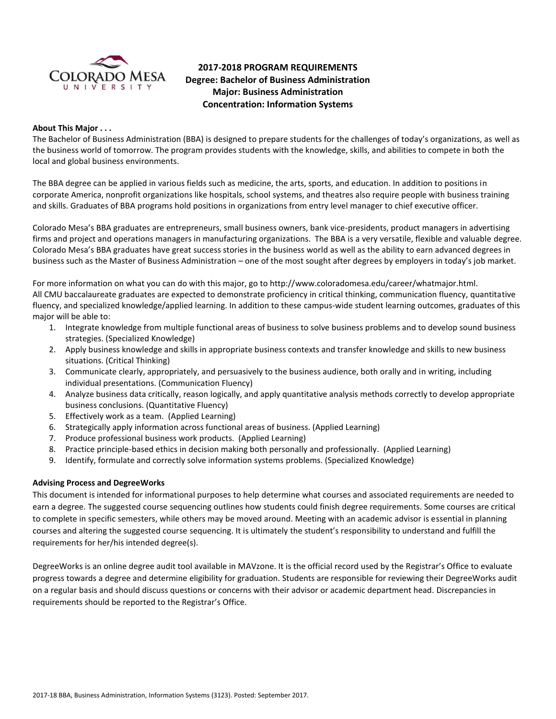

# **2017-2018 PROGRAM REQUIREMENTS Degree: Bachelor of Business Administration Major: Business Administration Concentration: Information Systems**

#### **About This Major . . .**

The Bachelor of Business Administration (BBA) is designed to prepare students for the challenges of today's organizations, as well as the business world of tomorrow. The program provides students with the knowledge, skills, and abilities to compete in both the local and global business environments.

The BBA degree can be applied in various fields such as medicine, the arts, sports, and education. In addition to positions in corporate America, nonprofit organizations like hospitals, school systems, and theatres also require people with business training and skills. Graduates of BBA programs hold positions in organizations from entry level manager to chief executive officer.

Colorado Mesa's BBA graduates are entrepreneurs, small business owners, bank vice-presidents, product managers in advertising firms and project and operations managers in manufacturing organizations. The BBA is a very versatile, flexible and valuable degree. Colorado Mesa's BBA graduates have great success stories in the business world as well as the ability to earn advanced degrees in business such as the Master of Business Administration – one of the most sought after degrees by employers in today's job market.

For more information on what you can do with this major, go to http://www.coloradomesa.edu/career/whatmajor.html. All CMU baccalaureate graduates are expected to demonstrate proficiency in critical thinking, communication fluency, quantitative fluency, and specialized knowledge/applied learning. In addition to these campus-wide student learning outcomes, graduates of this major will be able to:

- 1. Integrate knowledge from multiple functional areas of business to solve business problems and to develop sound business strategies. (Specialized Knowledge)
- 2. Apply business knowledge and skills in appropriate business contexts and transfer knowledge and skills to new business situations. (Critical Thinking)
- 3. Communicate clearly, appropriately, and persuasively to the business audience, both orally and in writing, including individual presentations. (Communication Fluency)
- 4. Analyze business data critically, reason logically, and apply quantitative analysis methods correctly to develop appropriate business conclusions. (Quantitative Fluency)
- 5. Effectively work as a team. (Applied Learning)
- 6. Strategically apply information across functional areas of business. (Applied Learning)
- 7. Produce professional business work products. (Applied Learning)
- 8. Practice principle-based ethics in decision making both personally and professionally. (Applied Learning)
- 9. Identify, formulate and correctly solve information systems problems. (Specialized Knowledge)

## **Advising Process and DegreeWorks**

This document is intended for informational purposes to help determine what courses and associated requirements are needed to earn a degree. The suggested course sequencing outlines how students could finish degree requirements. Some courses are critical to complete in specific semesters, while others may be moved around. Meeting with an academic advisor is essential in planning courses and altering the suggested course sequencing. It is ultimately the student's responsibility to understand and fulfill the requirements for her/his intended degree(s).

DegreeWorks is an online degree audit tool available in MAVzone. It is the official record used by the Registrar's Office to evaluate progress towards a degree and determine eligibility for graduation. Students are responsible for reviewing their DegreeWorks audit on a regular basis and should discuss questions or concerns with their advisor or academic department head. Discrepancies in requirements should be reported to the Registrar's Office.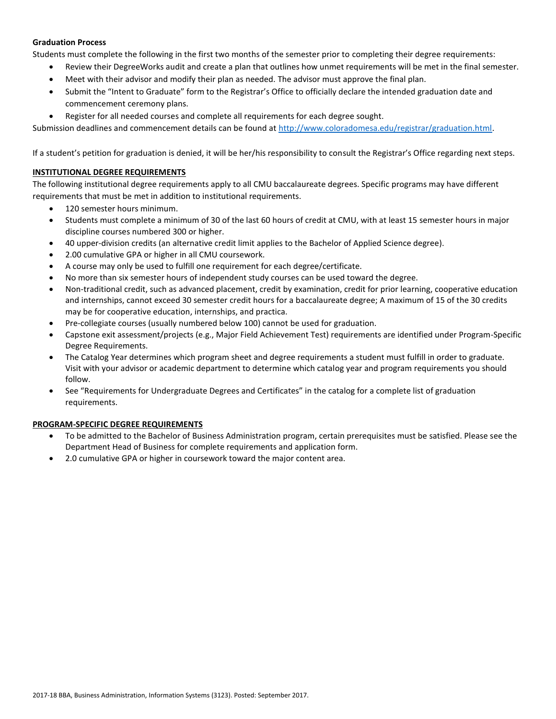#### **Graduation Process**

Students must complete the following in the first two months of the semester prior to completing their degree requirements:

- Review their DegreeWorks audit and create a plan that outlines how unmet requirements will be met in the final semester.
- Meet with their advisor and modify their plan as needed. The advisor must approve the final plan.
- Submit the "Intent to Graduate" form to the Registrar's Office to officially declare the intended graduation date and commencement ceremony plans.
- Register for all needed courses and complete all requirements for each degree sought.

Submission deadlines and commencement details can be found at [http://www.coloradomesa.edu/registrar/graduation.html.](http://www.coloradomesa.edu/registrar/graduation.html)

If a student's petition for graduation is denied, it will be her/his responsibility to consult the Registrar's Office regarding next steps.

#### **INSTITUTIONAL DEGREE REQUIREMENTS**

The following institutional degree requirements apply to all CMU baccalaureate degrees. Specific programs may have different requirements that must be met in addition to institutional requirements.

- 120 semester hours minimum.
- Students must complete a minimum of 30 of the last 60 hours of credit at CMU, with at least 15 semester hours in major discipline courses numbered 300 or higher.
- 40 upper-division credits (an alternative credit limit applies to the Bachelor of Applied Science degree).
- 2.00 cumulative GPA or higher in all CMU coursework.
- A course may only be used to fulfill one requirement for each degree/certificate.
- No more than six semester hours of independent study courses can be used toward the degree.
- Non-traditional credit, such as advanced placement, credit by examination, credit for prior learning, cooperative education and internships, cannot exceed 30 semester credit hours for a baccalaureate degree; A maximum of 15 of the 30 credits may be for cooperative education, internships, and practica.
- Pre-collegiate courses (usually numbered below 100) cannot be used for graduation.
- Capstone exit assessment/projects (e.g., Major Field Achievement Test) requirements are identified under Program-Specific Degree Requirements.
- The Catalog Year determines which program sheet and degree requirements a student must fulfill in order to graduate. Visit with your advisor or academic department to determine which catalog year and program requirements you should follow.
- See "Requirements for Undergraduate Degrees and Certificates" in the catalog for a complete list of graduation requirements.

#### **PROGRAM-SPECIFIC DEGREE REQUIREMENTS**

- To be admitted to the Bachelor of Business Administration program, certain prerequisites must be satisfied. Please see the Department Head of Business for complete requirements and application form.
- 2.0 cumulative GPA or higher in coursework toward the major content area.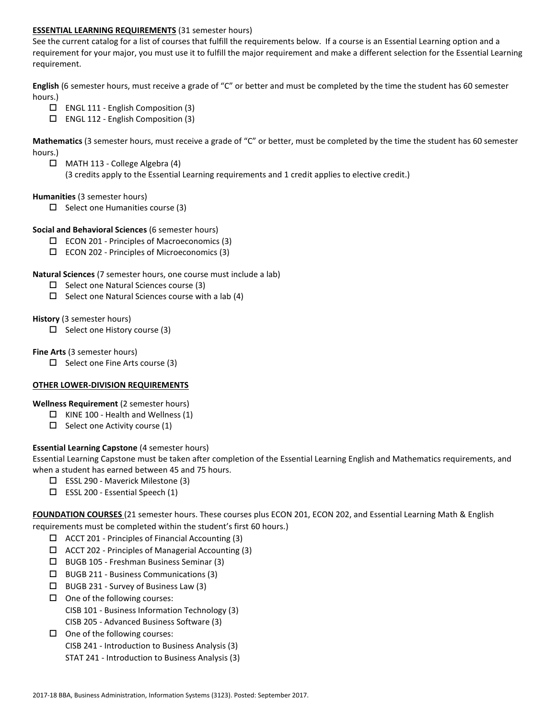#### **ESSENTIAL LEARNING REQUIREMENTS** (31 semester hours)

See the current catalog for a list of courses that fulfill the requirements below. If a course is an Essential Learning option and a requirement for your major, you must use it to fulfill the major requirement and make a different selection for the Essential Learning requirement.

**English** (6 semester hours, must receive a grade of "C" or better and must be completed by the time the student has 60 semester hours.)

- $\Box$  ENGL 111 English Composition (3)
- $\Box$  ENGL 112 English Composition (3)

**Mathematics** (3 semester hours, must receive a grade of "C" or better, must be completed by the time the student has 60 semester hours.)

 MATH 113 - College Algebra (4) (3 credits apply to the Essential Learning requirements and 1 credit applies to elective credit.)

#### **Humanities** (3 semester hours)

 $\Box$  Select one Humanities course (3)

#### **Social and Behavioral Sciences** (6 semester hours)

- $\Box$  ECON 201 Principles of Macroeconomics (3)
- ECON 202 Principles of Microeconomics (3)

#### **Natural Sciences** (7 semester hours, one course must include a lab)

- $\Box$  Select one Natural Sciences course (3)
- $\Box$  Select one Natural Sciences course with a lab (4)

#### **History** (3 semester hours)

 $\Box$  Select one History course (3)

#### **Fine Arts** (3 semester hours)

 $\Box$  Select one Fine Arts course (3)

## **OTHER LOWER-DIVISION REQUIREMENTS**

## **Wellness Requirement** (2 semester hours)

- $\Box$  KINE 100 Health and Wellness (1)
- $\Box$  Select one Activity course (1)

## **Essential Learning Capstone** (4 semester hours)

Essential Learning Capstone must be taken after completion of the Essential Learning English and Mathematics requirements, and when a student has earned between 45 and 75 hours.

- $\Box$  ESSL 290 Maverick Milestone (3)
- $\square$  ESSL 200 Essential Speech (1)

**FOUNDATION COURSES** (21 semester hours. These courses plus ECON 201, ECON 202, and Essential Learning Math & English requirements must be completed within the student's first 60 hours.)

- $\Box$  ACCT 201 Principles of Financial Accounting (3)
- $\Box$  ACCT 202 Principles of Managerial Accounting (3)
- BUGB 105 Freshman Business Seminar (3)
- BUGB 211 Business Communications (3)
- $\Box$  BUGB 231 Survey of Business Law (3)
- $\Box$  One of the following courses: CISB 101 - Business Information Technology (3) CISB 205 - Advanced Business Software (3)
- $\Box$  One of the following courses:
	- CISB 241 Introduction to Business Analysis (3)
	- STAT 241 Introduction to Business Analysis (3)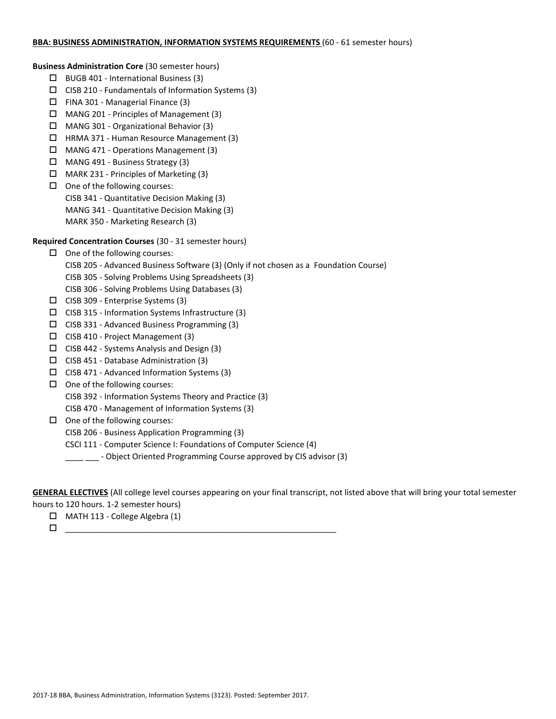#### **BBA: BUSINESS ADMINISTRATION, INFORMATION SYSTEMS REQUIREMENTS** (60 - 61 semester hours)

**Business Administration Core** (30 semester hours)

- $\Box$  BUGB 401 International Business (3)
- $\square$  CISB 210 Fundamentals of Information Systems (3)
- $\Box$  FINA 301 Managerial Finance (3)
- MANG 201 Principles of Management (3)
- MANG 301 Organizational Behavior (3)
- HRMA 371 Human Resource Management (3)
- MANG 471 Operations Management (3)
- MANG 491 Business Strategy (3)
- MARK 231 Principles of Marketing (3)
- $\Box$  One of the following courses: CISB 341 - Quantitative Decision Making (3) MANG 341 - Quantitative Decision Making (3) MARK 350 - Marketing Research (3)

## **Required Concentration Courses** (30 - 31 semester hours)

- $\Box$  One of the following courses:
	- CISB 205 Advanced Business Software (3) (Only if not chosen as a Foundation Course)
	- CISB 305 Solving Problems Using Spreadsheets (3)
	- CISB 306 Solving Problems Using Databases (3)
- $\Box$  CISB 309 Enterprise Systems (3)
- $\Box$  CISB 315 Information Systems Infrastructure (3)
- $\square$  CISB 331 Advanced Business Programming (3)
- $\Box$  CISB 410 Project Management (3)
- $\Box$  CISB 442 Systems Analysis and Design (3)
- $\Box$  CISB 451 Database Administration (3)
- $\square$  CISB 471 Advanced Information Systems (3)
- $\Box$  One of the following courses:
	- CISB 392 Information Systems Theory and Practice (3)
	- CISB 470 Management of Information Systems (3)
- $\Box$  One of the following courses:
	- CISB 206 Business Application Programming (3)
	- CSCI 111 Computer Science I: Foundations of Computer Science (4)
	- \_\_\_\_ Object Oriented Programming Course approved by CIS advisor (3)

**GENERAL ELECTIVES** (All college level courses appearing on your final transcript, not listed above that will bring your total semester

hours to 120 hours. 1-2 semester hours)

- MATH 113 College Algebra (1)
- \_\_\_\_\_\_\_\_\_\_\_\_\_\_\_\_\_\_\_\_\_\_\_\_\_\_\_\_\_\_\_\_\_\_\_\_\_\_\_\_\_\_\_\_\_\_\_\_\_\_\_\_\_\_\_\_\_\_\_\_